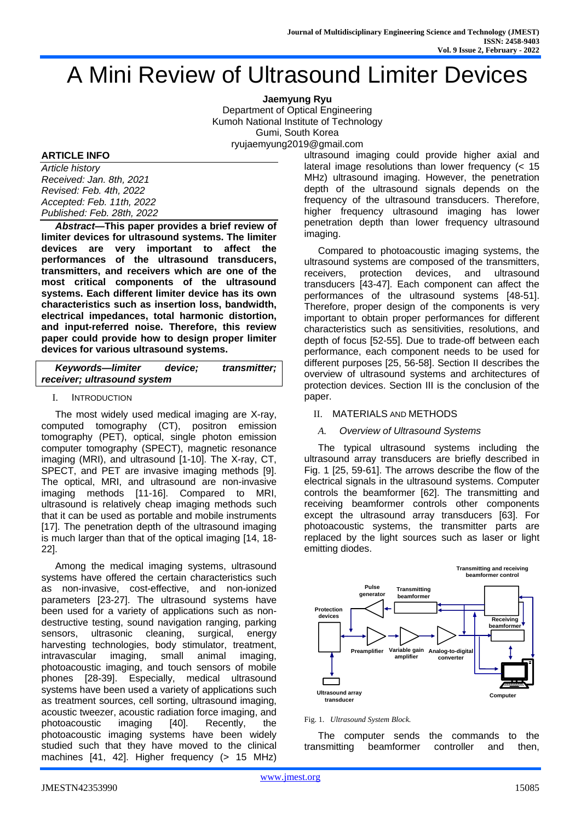# A Mini Review of Ultrasound Limiter Devices

**Jaemyung Ryu** Department of Optical Engineering Kumoh National Institute of Technology Gumi, South Korea ryujaemyung2019@gmail.com

## **ARTICLE INFO**

*Article history Received: Jan. 8th, 2021 Revised: Feb. 4th, 2022 Accepted: Feb. 11th, 2022 Published: Feb. 28th, 2022*

*Abstract***—This paper provides a brief review of limiter devices for ultrasound systems. The limiter devices are very important to affect the performances of the ultrasound transducers, transmitters, and receivers which are one of the most critical components of the ultrasound systems. Each different limiter device has its own characteristics such as insertion loss, bandwidth, electrical impedances, total harmonic distortion, and input-referred noise. Therefore, this review paper could provide how to design proper limiter devices for various ultrasound systems.**

| <b>Keywords-limiter</b>     | device: | transmitter; |
|-----------------------------|---------|--------------|
| receiver; ultrasound system |         |              |

## I. INTRODUCTION

The most widely used medical imaging are X-ray, computed tomography (CT), positron emission tomography (PET), optical, single photon emission computer tomography (SPECT), magnetic resonance imaging (MRI), and ultrasound [1-10]. The X-ray, CT, SPECT, and PET are invasive imaging methods [9]. The optical, MRI, and ultrasound are non-invasive imaging methods [11-16]. Compared to MRI, ultrasound is relatively cheap imaging methods such that it can be used as portable and mobile instruments [17]. The penetration depth of the ultrasound imaging is much larger than that of the optical imaging [14, 18- 22].

Among the medical imaging systems, ultrasound systems have offered the certain characteristics such as non-invasive, cost-effective, and non-ionized parameters [23-27]. The ultrasound systems have been used for a variety of applications such as nondestructive testing, sound navigation ranging, parking sensors, ultrasonic cleaning, surgical, energy harvesting technologies, body stimulator, treatment, intravascular imaging, small animal imaging, photoacoustic imaging, and touch sensors of mobile phones [28-39]. Especially, medical ultrasound systems have been used a variety of applications such as treatment sources, cell sorting, ultrasound imaging, acoustic tweezer, acoustic radiation force imaging, and photoacoustic imaging [40]. Recently, the photoacoustic imaging systems have been widely studied such that they have moved to the clinical machines [41, 42]. Higher frequency (> 15 MHz)

ultrasound imaging could provide higher axial and lateral image resolutions than lower frequency  $\leq 15$ MHz) ultrasound imaging. However, the penetration depth of the ultrasound signals depends on the frequency of the ultrasound transducers. Therefore, higher frequency ultrasound imaging has lower penetration depth than lower frequency ultrasound imaging.

Compared to photoacoustic imaging systems, the ultrasound systems are composed of the transmitters, receivers, protection devices, and ultrasound transducers [43-47]. Each component can affect the performances of the ultrasound systems [48-51]. Therefore, proper design of the components is very important to obtain proper performances for different characteristics such as sensitivities, resolutions, and depth of focus [52-55]. Due to trade-off between each performance, each component needs to be used for different purposes [25, 56-58]. Section II describes the overview of ultrasound systems and architectures of protection devices. Section III is the conclusion of the paper.

## II. MATERIALS AND METHODS

## *A. Overview of Ultrasound Systems*

The typical ultrasound systems including the ultrasound array transducers are briefly described in Fig. 1 [25, 59-61]. The arrows describe the flow of the electrical signals in the ultrasound systems. Computer controls the beamformer [62]. The transmitting and receiving beamformer controls other components except the ultrasound array transducers [63]. For photoacoustic systems, the transmitter parts are replaced by the light sources such as laser or light emitting diodes.



#### Fig. 1. *Ultrasound System Block.*

The computer sends the commands to the transmitting beamformer controller and then,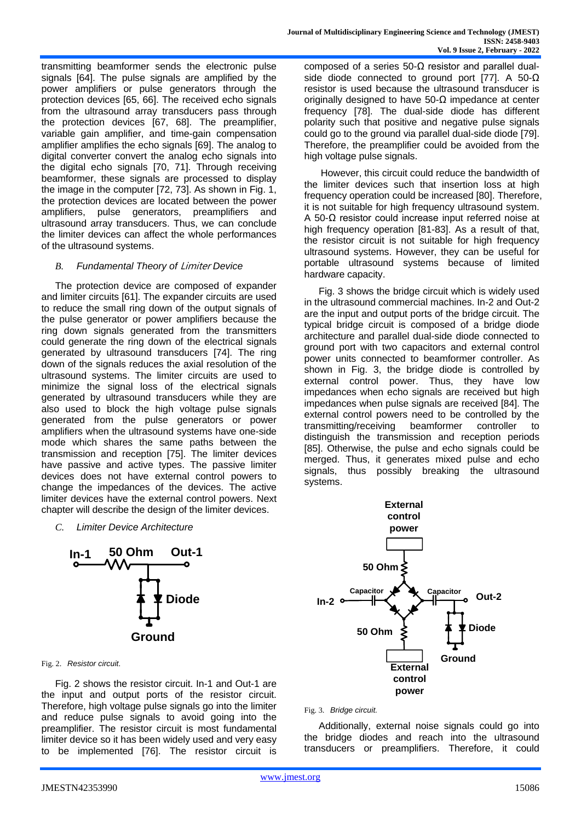transmitting beamformer sends the electronic pulse signals [64]. The pulse signals are amplified by the power amplifiers or pulse generators through the protection devices [65, 66]. The received echo signals from the ultrasound array transducers pass through the protection devices [67, 68]. The preamplifier, variable gain amplifier, and time-gain compensation amplifier amplifies the echo signals [69]. The analog to digital converter convert the analog echo signals into the digital echo signals [70, 71]. Through receiving beamformer, these signals are processed to display the image in the computer [72, 73]. As shown in Fig. 1, the protection devices are located between the power amplifiers, pulse generators, preamplifiers and ultrasound array transducers. Thus, we can conclude the limiter devices can affect the whole performances of the ultrasound systems.

## *B. Fundamental Theory of* Limiter *Device*

The protection device are composed of expander and limiter circuits [61]. The expander circuits are used to reduce the small ring down of the output signals of the pulse generator or power amplifiers because the ring down signals generated from the transmitters could generate the ring down of the electrical signals generated by ultrasound transducers [74]. The ring down of the signals reduces the axial resolution of the ultrasound systems. The limiter circuits are used to minimize the signal loss of the electrical signals generated by ultrasound transducers while they are also used to block the high voltage pulse signals generated from the pulse generators or power amplifiers when the ultrasound systems have one-side mode which shares the same paths between the transmission and reception [75]. The limiter devices have passive and active types. The passive limiter devices does not have external control powers to change the impedances of the devices. The active limiter devices have the external control powers. Next chapter will describe the design of the limiter devices.

## *C. Limiter Device Architecture*



Fig. 2. *Resistor circuit*.

Fig. 2 shows the resistor circuit. In-1 and Out-1 are the input and output ports of the resistor circuit. Therefore, high voltage pulse signals go into the limiter and reduce pulse signals to avoid going into the preamplifier. The resistor circuit is most fundamental limiter device so it has been widely used and very easy to be implemented [76]. The resistor circuit is

composed of a series 50-Ω resistor and parallel dualside diode connected to ground port [77]. A 50-Ω resistor is used because the ultrasound transducer is originally designed to have 50-Ω impedance at center frequency [78]. The dual-side diode has different polarity such that positive and negative pulse signals could go to the ground via parallel dual-side diode [79]. Therefore, the preamplifier could be avoided from the high voltage pulse signals.

However, this circuit could reduce the bandwidth of the limiter devices such that insertion loss at high frequency operation could be increased [80]. Therefore, it is not suitable for high frequency ultrasound system. A 50-Ω resistor could increase input referred noise at high frequency operation [81-83]. As a result of that, the resistor circuit is not suitable for high frequency ultrasound systems. However, they can be useful for portable ultrasound systems because of limited hardware capacity.

Fig. 3 shows the bridge circuit which is widely used in the ultrasound commercial machines. In-2 and Out-2 are the input and output ports of the bridge circuit. The typical bridge circuit is composed of a bridge diode architecture and parallel dual-side diode connected to ground port with two capacitors and external control power units connected to beamformer controller. As shown in Fig. 3, the bridge diode is controlled by external control power. Thus, they have low impedances when echo signals are received but high impedances when pulse signals are received [84]. The external control powers need to be controlled by the transmitting/receiving beamformer controller to distinguish the transmission and reception periods [85]. Otherwise, the pulse and echo signals could be merged. Thus, it generates mixed pulse and echo signals, thus possibly breaking the ultrasound systems.



#### Fig. 3. *Bridge circuit.*

Additionally, external noise signals could go into the bridge diodes and reach into the ultrasound transducers or preamplifiers. Therefore, it could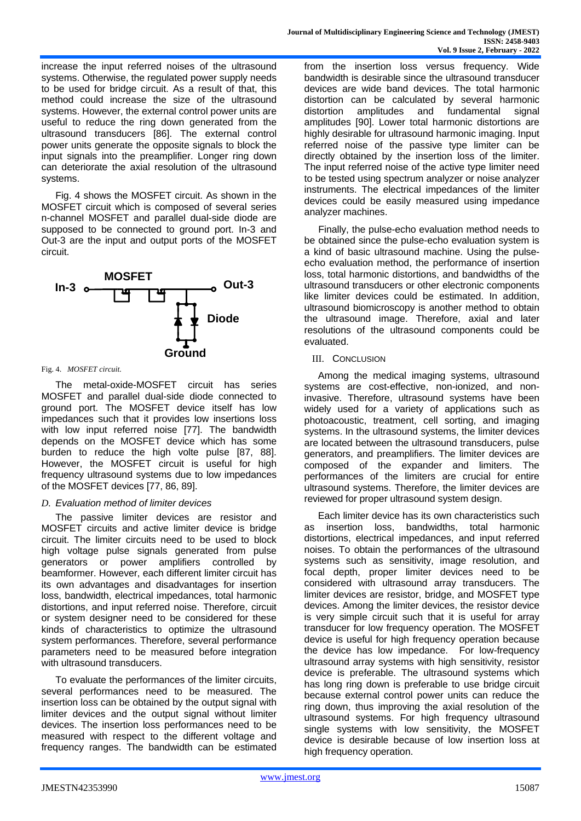increase the input referred noises of the ultrasound systems. Otherwise, the regulated power supply needs to be used for bridge circuit. As a result of that, this method could increase the size of the ultrasound systems. However, the external control power units are useful to reduce the ring down generated from the ultrasound transducers [86]. The external control power units generate the opposite signals to block the input signals into the preamplifier. Longer ring down can deteriorate the axial resolution of the ultrasound systems.

Fig. 4 shows the MOSFET circuit. As shown in the MOSFET circuit which is composed of several series n-channel MOSFET and parallel dual-side diode are supposed to be connected to ground port. In-3 and Out-3 are the input and output ports of the MOSFET circuit.



#### Fig. 4. *MOSFET circuit.*

The metal-oxide-MOSFET circuit has series MOSFET and parallel dual-side diode connected to ground port. The MOSFET device itself has low impedances such that it provides low insertions loss with low input referred noise [77]. The bandwidth depends on the MOSFET device which has some burden to reduce the high volte pulse [87, 88]. However, the MOSFET circuit is useful for high frequency ultrasound systems due to low impedances of the MOSFET devices [77, 86, 89].

# *D. Evaluation method of limiter devices*

The passive limiter devices are resistor and MOSFET circuits and active limiter device is bridge circuit. The limiter circuits need to be used to block high voltage pulse signals generated from pulse generators or power amplifiers controlled by beamformer. However, each different limiter circuit has its own advantages and disadvantages for insertion loss, bandwidth, electrical impedances, total harmonic distortions, and input referred noise. Therefore, circuit or system designer need to be considered for these kinds of characteristics to optimize the ultrasound system performances. Therefore, several performance parameters need to be measured before integration with ultrasound transducers.

To evaluate the performances of the limiter circuits, several performances need to be measured. The insertion loss can be obtained by the output signal with limiter devices and the output signal without limiter devices. The insertion loss performances need to be measured with respect to the different voltage and frequency ranges. The bandwidth can be estimated from the insertion loss versus frequency. Wide bandwidth is desirable since the ultrasound transducer devices are wide band devices. The total harmonic distortion can be calculated by several harmonic distortion amplitudes and fundamental signal amplitudes [90]. Lower total harmonic distortions are highly desirable for ultrasound harmonic imaging. Input referred noise of the passive type limiter can be directly obtained by the insertion loss of the limiter. The input referred noise of the active type limiter need to be tested using spectrum analyzer or noise analyzer instruments. The electrical impedances of the limiter devices could be easily measured using impedance analyzer machines.

Finally, the pulse-echo evaluation method needs to be obtained since the pulse-echo evaluation system is a kind of basic ultrasound machine. Using the pulseecho evaluation method, the performance of insertion loss, total harmonic distortions, and bandwidths of the ultrasound transducers or other electronic components like limiter devices could be estimated. In addition, ultrasound biomicroscopy is another method to obtain the ultrasound image. Therefore, axial and later **Diode** resolutions of the ultrasound components could be evaluated.

## III. CONCLUSION

Among the medical imaging systems, ultrasound systems are cost-effective, non-ionized, and noninvasive. Therefore, ultrasound systems have been widely used for a variety of applications such as photoacoustic, treatment, cell sorting, and imaging systems. In the ultrasound systems, the limiter devices are located between the ultrasound transducers, pulse generators, and preamplifiers. The limiter devices are composed of the expander and limiters. The performances of the limiters are crucial for entire ultrasound systems. Therefore, the limiter devices are reviewed for proper ultrasound system design.

Each limiter device has its own characteristics such as insertion loss, bandwidths, total harmonic distortions, electrical impedances, and input referred noises. To obtain the performances of the ultrasound systems such as sensitivity, image resolution, and focal depth, proper limiter devices need to be considered with ultrasound array transducers. The limiter devices are resistor, bridge, and MOSFET type devices. Among the limiter devices, the resistor device is very simple circuit such that it is useful for array transducer for low frequency operation. The MOSFET device is useful for high frequency operation because the device has low impedance. For low-frequency ultrasound array systems with high sensitivity, resistor device is preferable. The ultrasound systems which has long ring down is preferable to use bridge circuit because external control power units can reduce the ring down, thus improving the axial resolution of the ultrasound systems. For high frequency ultrasound single systems with low sensitivity, the MOSFET device is desirable because of low insertion loss at high frequency operation.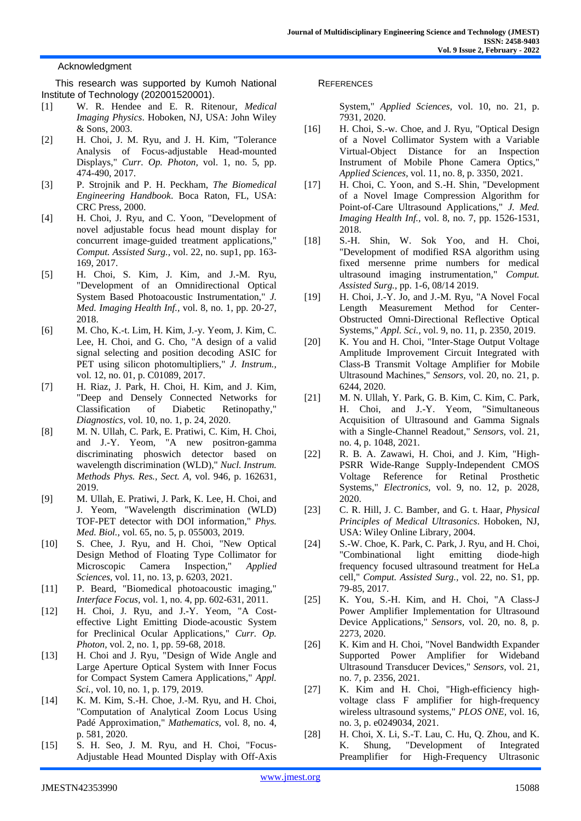## **Acknowledgment**

This research was supported by Kumoh National Institute of Technology (202001520001).

- [1] W. R. Hendee and E. R. Ritenour, *Medical Imaging Physics*. Hoboken, NJ, USA: John Wiley & Sons, 2003.
- [2] H. Choi, J. M. Ryu, and J. H. Kim, "Tolerance Analysis of Focus-adjustable Head-mounted Displays," *Curr. Op. Photon,* vol. 1, no. 5, pp. 474-490, 2017.
- [3] P. Strojnik and P. H. Peckham, *The Biomedical Engineering Handbook*. Boca Raton, FL, USA: CRC Press, 2000.
- [4] H. Choi, J. Ryu, and C. Yoon, "Development of novel adjustable focus head mount display for concurrent image-guided treatment applications," *Comput. Assisted Surg.,* vol. 22, no. sup1, pp. 163- 169, 2017.
- [5] H. Choi, S. Kim, J. Kim, and J.-M. Ryu, "Development of an Omnidirectional Optical System Based Photoacoustic Instrumentation," *J. Med. Imaging Health Inf.,* vol. 8, no. 1, pp. 20-27, 2018.
- [6] M. Cho, K.-t. Lim, H. Kim, J.-y. Yeom, J. Kim, C. Lee, H. Choi, and G. Cho, "A design of a valid signal selecting and position decoding ASIC for PET using silicon photomultipliers," *J. Instrum.,*  vol. 12, no. 01, p. C01089, 2017.
- [7] H. Riaz, J. Park, H. Choi, H. Kim, and J. Kim, "Deep and Densely Connected Networks for Classification of Diabetic Retinopathy," *Diagnostics,* vol. 10, no. 1, p. 24, 2020.
- [8] M. N. Ullah, C. Park, E. Pratiwi, C. Kim, H. Choi, and J.-Y. Yeom, "A new positron-gamma discriminating phoswich detector based on wavelength discrimination (WLD)," *Nucl. Instrum. Methods Phys. Res., Sect. A,* vol. 946, p. 162631, 2019.
- [9] M. Ullah, E. Pratiwi, J. Park, K. Lee, H. Choi, and J. Yeom, "Wavelength discrimination (WLD) TOF-PET detector with DOI information," *Phys. Med. Biol.,* vol. 65, no. 5, p. 055003, 2019.
- [10] S. Chee, J. Ryu, and H. Choi, "New Optical Design Method of Floating Type Collimator for Microscopic Camera Inspection," *Applied Sciences,* vol. 11, no. 13, p. 6203, 2021.
- [11] P. Beard, "Biomedical photoacoustic imaging," *Interface Focus,* vol. 1, no. 4, pp. 602-631, 2011.
- [12] H. Choi, J. Ryu, and J.-Y. Yeom, "A Costeffective Light Emitting Diode-acoustic System for Preclinical Ocular Applications," *Curr. Op. Photon,* vol. 2, no. 1, pp. 59-68, 2018.
- [13] H. Choi and J. Ryu, "Design of Wide Angle and Large Aperture Optical System with Inner Focus for Compact System Camera Applications," *Appl. Sci.,* vol. 10, no. 1, p. 179, 2019.
- [14] K. M. Kim, S.-H. Choe, J.-M. Ryu, and H. Choi, "Computation of Analytical Zoom Locus Using Padé Approximation," *Mathematics,* vol. 8, no. 4, p. 581, 2020.
- [15] S. H. Seo, J. M. Ryu, and H. Choi, "Focus-Adjustable Head Mounted Display with Off-Axis

#### **REFERENCES**

System," *Applied Sciences,* vol. 10, no. 21, p. 7931, 2020.

- [16] H. Choi, S.-w. Choe, and J. Ryu, "Optical Design of a Novel Collimator System with a Variable Virtual-Object Distance for an Inspection Instrument of Mobile Phone Camera Optics," *Applied Sciences,* vol. 11, no. 8, p. 3350, 2021.
- [17] H. Choi, C. Yoon, and S.-H. Shin, "Development of a Novel Image Compression Algorithm for Point-of-Care Ultrasound Applications," *J. Med. Imaging Health Inf.,* vol. 8, no. 7, pp. 1526-1531, 2018.
- [18] S.-H. Shin, W. Sok Yoo, and H. Choi, "Development of modified RSA algorithm using fixed mersenne prime numbers for medical ultrasound imaging instrumentation," *Comput. Assisted Surg.,* pp. 1-6, 08/14 2019.
- [19] H. Choi, J.-Y. Jo, and J.-M. Ryu, "A Novel Focal Length Measurement Method for Center-Obstructed Omni-Directional Reflective Optical Systems," *Appl. Sci.,* vol. 9, no. 11, p. 2350, 2019.
- [20] K. You and H. Choi, "Inter-Stage Output Voltage Amplitude Improvement Circuit Integrated with Class-B Transmit Voltage Amplifier for Mobile Ultrasound Machines," *Sensors,* vol. 20, no. 21, p. 6244, 2020.
- [21] M. N. Ullah, Y. Park, G. B. Kim, C. Kim, C. Park, H. Choi, and J.-Y. Yeom, "Simultaneous Acquisition of Ultrasound and Gamma Signals with a Single-Channel Readout," *Sensors,* vol. 21, no. 4, p. 1048, 2021.
- [22] R. B. A. Zawawi, H. Choi, and J. Kim, "High-PSRR Wide-Range Supply-Independent CMOS Voltage Reference for Retinal Prosthetic Systems," *Electronics,* vol. 9, no. 12, p. 2028, 2020.
- [23] C. R. Hill, J. C. Bamber, and G. t. Haar, *Physical Principles of Medical Ultrasonics*. Hoboken, NJ, USA: Wiley Online Library, 2004.
- [24] S.-W. Choe, K. Park, C. Park, J. Ryu, and H. Choi, "Combinational light emitting diode-high frequency focused ultrasound treatment for HeLa cell," *Comput. Assisted Surg.,* vol. 22, no. S1, pp. 79-85, 2017.
- [25] K. You, S.-H. Kim, and H. Choi, "A Class-J Power Amplifier Implementation for Ultrasound Device Applications," *Sensors,* vol. 20, no. 8, p. 2273, 2020.
- [26] K. Kim and H. Choi, "Novel Bandwidth Expander Supported Power Amplifier for Wideband Ultrasound Transducer Devices," *Sensors,* vol. 21, no. 7, p. 2356, 2021.
- [27] K. Kim and H. Choi, "High-efficiency highvoltage class F amplifier for high-frequency wireless ultrasound systems," *PLOS ONE,* vol. 16, no. 3, p. e0249034, 2021.
- [28] H. Choi, X. Li, S.-T. Lau, C. Hu, Q. Zhou, and K. K. Shung, "Development of Integrated Preamplifier for High-Frequency Ultrasonic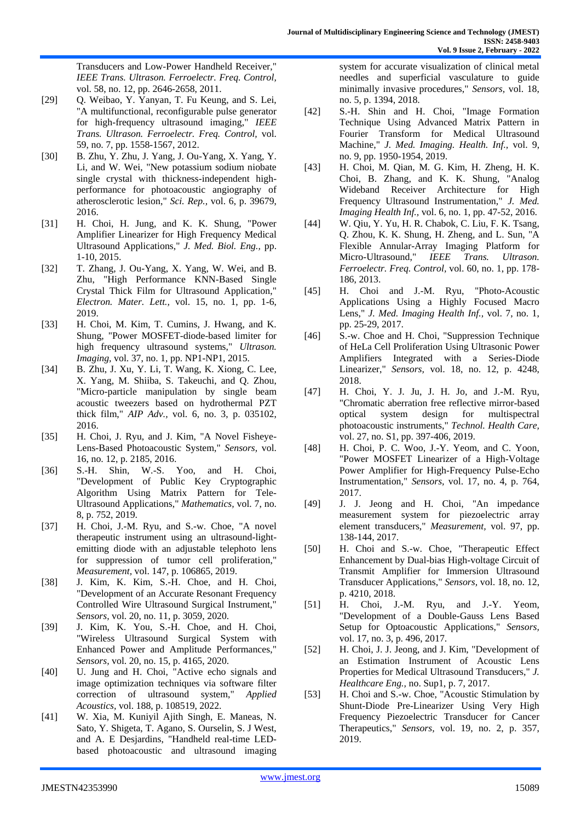Transducers and Low-Power Handheld Receiver," *IEEE Trans. Ultrason. Ferroelectr. Freq. Control,*  vol. 58, no. 12, pp. 2646-2658, 2011.

- [29] Q. Weibao, Y. Yanyan, T. Fu Keung, and S. Lei, "A multifunctional, reconfigurable pulse generator for high-frequency ultrasound imaging," *IEEE Trans. Ultrason. Ferroelectr. Freq. Control,* vol. 59, no. 7, pp. 1558-1567, 2012.
- [30] B. Zhu, Y. Zhu, J. Yang, J. Ou-Yang, X. Yang, Y. Li, and W. Wei, "New potassium sodium niobate single crystal with thickness-independent highperformance for photoacoustic angiography of atherosclerotic lesion," *Sci. Rep.,* vol. 6, p. 39679, 2016.
- [31] H. Choi, H. Jung, and K. K. Shung, "Power Amplifier Linearizer for High Frequency Medical Ultrasound Applications," *J. Med. Biol. Eng.,* pp. 1-10, 2015.
- [32] T. Zhang, J. Ou-Yang, X. Yang, W. Wei, and B. Zhu, "High Performance KNN-Based Single Crystal Thick Film for Ultrasound Application," *Electron. Mater. Lett.,* vol. 15, no. 1, pp. 1-6, 2019.
- [33] H. Choi, M. Kim, T. Cumins, J. Hwang, and K. Shung, "Power MOSFET-diode-based limiter for high frequency ultrasound systems," *Ultrason. Imaging,* vol. 37, no. 1, pp. NP1-NP1, 2015.
- [34] B. Zhu, J. Xu, Y. Li, T. Wang, K. Xiong, C. Lee, X. Yang, M. Shiiba, S. Takeuchi, and Q. Zhou, "Micro-particle manipulation by single beam acoustic tweezers based on hydrothermal PZT thick film," *AIP Adv.,* vol. 6, no. 3, p. 035102, 2016.
- [35] H. Choi, J. Ryu, and J. Kim, "A Novel Fisheye-Lens-Based Photoacoustic System," *Sensors,* vol. 16, no. 12, p. 2185, 2016.
- [36] S.-H. Shin, W.-S. Yoo, and H. Choi, "Development of Public Key Cryptographic Algorithm Using Matrix Pattern for Tele-Ultrasound Applications," *Mathematics,* vol. 7, no. 8, p. 752, 2019.
- [37] H. Choi, J.-M. Ryu, and S.-w. Choe, "A novel therapeutic instrument using an ultrasound-lightemitting diode with an adjustable telephoto lens for suppression of tumor cell proliferation," *Measurement,* vol. 147, p. 106865, 2019.
- [38] J. Kim, K. Kim, S.-H. Choe, and H. Choi, "Development of an Accurate Resonant Frequency Controlled Wire Ultrasound Surgical Instrument," *Sensors,* vol. 20, no. 11, p. 3059, 2020.
- [39] J. Kim, K. You, S.-H. Choe, and H. Choi, "Wireless Ultrasound Surgical System with Enhanced Power and Amplitude Performances," *Sensors,* vol. 20, no. 15, p. 4165, 2020.
- [40] U. Jung and H. Choi, "Active echo signals and image optimization techniques via software filter correction of ultrasound system," *Applied Acoustics,* vol. 188, p. 108519, 2022.
- [41] W. Xia, M. Kuniyil Ajith Singh, E. Maneas, N. Sato, Y. Shigeta, T. Agano, S. Ourselin, S. J West, and A. E Desjardins, "Handheld real-time LEDbased photoacoustic and ultrasound imaging

system for accurate visualization of clinical metal needles and superficial vasculature to guide minimally invasive procedures," *Sensors,* vol. 18, no. 5, p. 1394, 2018.

- [42] S.-H. Shin and H. Choi, "Image Formation Technique Using Advanced Matrix Pattern in Fourier Transform for Medical Ultrasound Machine," *J. Med. Imaging. Health. Inf.,* vol. 9, no. 9, pp. 1950-1954, 2019.
- [43] H. Choi, M. Qian, M. G. Kim, H. Zheng, H. K. Choi, B. Zhang, and K. K. Shung, "Analog Wideband Receiver Architecture for High Frequency Ultrasound Instrumentation," *J. Med. Imaging Health Inf.,* vol. 6, no. 1, pp. 47-52, 2016.
- [44] W. Qiu, Y. Yu, H. R. Chabok, C. Liu, F. K. Tsang, Q. Zhou, K. K. Shung, H. Zheng, and L. Sun, "A Flexible Annular-Array Imaging Platform for Micro-Ultrasound," *IEEE Trans. Ultrason. Ferroelectr. Freq. Control,* vol. 60, no. 1, pp. 178- 186, 2013.
- [45] H. Choi and J.-M. Ryu, "Photo-Acoustic Applications Using a Highly Focused Macro Lens," *J. Med. Imaging Health Inf.,* vol. 7, no. 1, pp. 25-29, 2017.
- [46] S.-w. Choe and H. Choi, "Suppression Technique of HeLa Cell Proliferation Using Ultrasonic Power Amplifiers Integrated with a Series-Diode Linearizer," *Sensors,* vol. 18, no. 12, p. 4248, 2018.
- [47] H. Choi, Y. J. Ju, J. H. Jo, and J.-M. Ryu, "Chromatic aberration free reflective mirror-based optical system design for multispectral photoacoustic instruments," *Technol. Health Care,*  vol. 27, no. S1, pp. 397-406, 2019.
- [48] H. Choi, P. C. Woo, J.-Y. Yeom, and C. Yoon, "Power MOSFET Linearizer of a High-Voltage Power Amplifier for High-Frequency Pulse-Echo Instrumentation," *Sensors,* vol. 17, no. 4, p. 764, 2017.
- [49] J. J. Jeong and H. Choi, "An impedance measurement system for piezoelectric array element transducers," *Measurement,* vol. 97, pp. 138-144, 2017.
- [50] H. Choi and S.-w. Choe, "Therapeutic Effect Enhancement by Dual-bias High-voltage Circuit of Transmit Amplifier for Immersion Ultrasound Transducer Applications," *Sensors,* vol. 18, no. 12, p. 4210, 2018.
- [51] H. Choi, J.-M. Ryu, and J.-Y. Yeom, "Development of a Double-Gauss Lens Based Setup for Optoacoustic Applications," *Sensors,*  vol. 17, no. 3, p. 496, 2017.
- [52] H. Choi, J. J. Jeong, and J. Kim, "Development of an Estimation Instrument of Acoustic Lens Properties for Medical Ultrasound Transducers," *J. Healthcare Eng.,* no. Sup1, p. 7, 2017.
- [53] H. Choi and S.-w. Choe, "Acoustic Stimulation by Shunt-Diode Pre-Linearizer Using Very High Frequency Piezoelectric Transducer for Cancer Therapeutics," *Sensors,* vol. 19, no. 2, p. 357, 2019.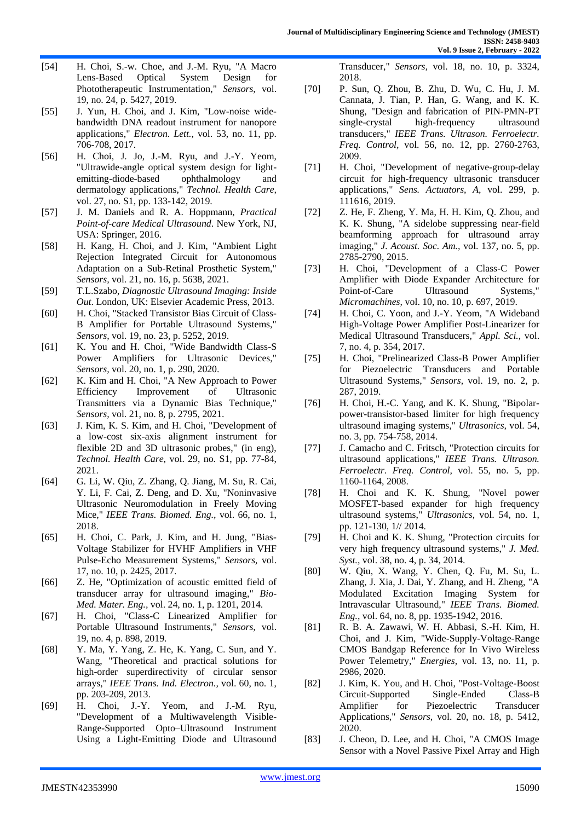- [54] H. Choi, S.-w. Choe, and J.-M. Ryu, "A Macro Lens-Based Optical System Design for Phototherapeutic Instrumentation," *Sensors,* vol. 19, no. 24, p. 5427, 2019.
- [55] J. Yun, H. Choi, and J. Kim, "Low-noise widebandwidth DNA readout instrument for nanopore applications," *Electron. Lett.,* vol. 53, no. 11, pp. 706-708, 2017.
- [56] H. Choi, J. Jo, J.-M. Ryu, and J.-Y. Yeom, "Ultrawide-angle optical system design for lightemitting-diode-based ophthalmology and dermatology applications," *Technol. Health Care,*  vol. 27, no. S1, pp. 133-142, 2019.
- [57] J. M. Daniels and R. A. Hoppmann, *Practical Point-of-care Medical Ultrasound*. New York, NJ, USA: Springer, 2016.
- [58] H. Kang, H. Choi, and J. Kim, "Ambient Light Rejection Integrated Circuit for Autonomous Adaptation on a Sub-Retinal Prosthetic System," *Sensors,* vol. 21, no. 16, p. 5638, 2021.
- [59] T.L.Szabo, *Diagnostic Ultrasound Imaging: Inside Out*. London, UK: Elsevier Academic Press, 2013.
- [60] H. Choi, "Stacked Transistor Bias Circuit of Class-B Amplifier for Portable Ultrasound Systems," *Sensors,* vol. 19, no. 23, p. 5252, 2019.
- [61] K. You and H. Choi, "Wide Bandwidth Class-S Power Amplifiers for Ultrasonic Devices," *Sensors,* vol. 20, no. 1, p. 290, 2020.
- [62] K. Kim and H. Choi, "A New Approach to Power Efficiency Improvement of Ultrasonic Transmitters via a Dynamic Bias Technique," *Sensors,* vol. 21, no. 8, p. 2795, 2021.
- [63] J. Kim, K. S. Kim, and H. Choi, "Development of a low-cost six-axis alignment instrument for flexible 2D and 3D ultrasonic probes," (in eng), *Technol. Health Care,* vol. 29, no. S1, pp. 77-84, 2021.
- [64] G. Li, W. Qiu, Z. Zhang, Q. Jiang, M. Su, R. Cai, Y. Li, F. Cai, Z. Deng, and D. Xu, "Noninvasive Ultrasonic Neuromodulation in Freely Moving Mice," *IEEE Trans. Biomed. Eng.,* vol. 66, no. 1, 2018.
- [65] H. Choi, C. Park, J. Kim, and H. Jung, "Bias-Voltage Stabilizer for HVHF Amplifiers in VHF Pulse-Echo Measurement Systems," *Sensors,* vol. 17, no. 10, p. 2425, 2017.
- [66] Z. He, "Optimization of acoustic emitted field of transducer array for ultrasound imaging," *Bio-Med. Mater. Eng.,* vol. 24, no. 1, p. 1201, 2014.
- [67] H. Choi, "Class-C Linearized Amplifier for Portable Ultrasound Instruments," *Sensors,* vol. 19, no. 4, p. 898, 2019.
- [68] Y. Ma, Y. Yang, Z. He, K. Yang, C. Sun, and Y. Wang, "Theoretical and practical solutions for high-order superdirectivity of circular sensor arrays," *IEEE Trans. Ind. Electron.,* vol. 60, no. 1, pp. 203-209, 2013.
- [69] H. Choi, J.-Y. Yeom, and J.-M. Ryu, "Development of a Multiwavelength Visible-Range-Supported Opto–Ultrasound Instrument Using a Light-Emitting Diode and Ultrasound

Transducer," *Sensors,* vol. 18, no. 10, p. 3324, 2018.

- [70] P. Sun, Q. Zhou, B. Zhu, D. Wu, C. Hu, J. M. Cannata, J. Tian, P. Han, G. Wang, and K. K. Shung, "Design and fabrication of PIN-PMN-PT single-crystal high-frequency ultrasound transducers," *IEEE Trans. Ultrason. Ferroelectr. Freq. Control,* vol. 56, no. 12, pp. 2760-2763, 2009.
- [71] H. Choi, "Development of negative-group-delay circuit for high-frequency ultrasonic transducer applications," *Sens. Actuators, A,* vol. 299, p. 111616, 2019.
- [72] Z. He, F. Zheng, Y. Ma, H. H. Kim, Q. Zhou, and K. K. Shung, "A sidelobe suppressing near-field beamforming approach for ultrasound array imaging," *J. Acoust. Soc. Am.,* vol. 137, no. 5, pp. 2785-2790, 2015.
- [73] H. Choi, "Development of a Class-C Power Amplifier with Diode Expander Architecture for Point-of-Care Ultrasound Systems," *Micromachines,* vol. 10, no. 10, p. 697, 2019.
- [74] H. Choi, C. Yoon, and J.-Y. Yeom, "A Wideband High-Voltage Power Amplifier Post-Linearizer for Medical Ultrasound Transducers," *Appl. Sci.,* vol. 7, no. 4, p. 354, 2017.
- [75] H. Choi, "Prelinearized Class-B Power Amplifier for Piezoelectric Transducers and Portable Ultrasound Systems," *Sensors,* vol. 19, no. 2, p. 287, 2019.
- [76] H. Choi, H.-C. Yang, and K. K. Shung, "Bipolarpower-transistor-based limiter for high frequency ultrasound imaging systems," *Ultrasonics,* vol. 54, no. 3, pp. 754-758, 2014.
- [77] J. Camacho and C. Fritsch, "Protection circuits for ultrasound applications," *IEEE Trans. Ultrason. Ferroelectr. Freq. Control,* vol. 55, no. 5, pp. 1160-1164, 2008.
- [78] H. Choi and K. K. Shung, "Novel power MOSFET-based expander for high frequency ultrasound systems," *Ultrasonics,* vol. 54, no. 1, pp. 121-130, 1// 2014.
- [79] H. Choi and K. K. Shung, "Protection circuits for very high frequency ultrasound systems," *J. Med. Syst.,* vol. 38, no. 4, p. 34, 2014.
- [80] W. Qiu, X. Wang, Y. Chen, Q. Fu, M. Su, L. Zhang, J. Xia, J. Dai, Y. Zhang, and H. Zheng, "A Modulated Excitation Imaging System for Intravascular Ultrasound," *IEEE Trans. Biomed. Eng.,* vol. 64, no. 8, pp. 1935-1942, 2016.
- [81] R. B. A. Zawawi, W. H. Abbasi, S.-H. Kim, H. Choi, and J. Kim, "Wide-Supply-Voltage-Range CMOS Bandgap Reference for In Vivo Wireless Power Telemetry," *Energies,* vol. 13, no. 11, p. 2986, 2020.
- [82] J. Kim, K. You, and H. Choi, "Post-Voltage-Boost Circuit-Supported Single-Ended Class-B Amplifier for Piezoelectric Transducer Applications," *Sensors,* vol. 20, no. 18, p. 5412, 2020.
- [83] J. Cheon, D. Lee, and H. Choi, "A CMOS Image Sensor with a Novel Passive Pixel Array and High